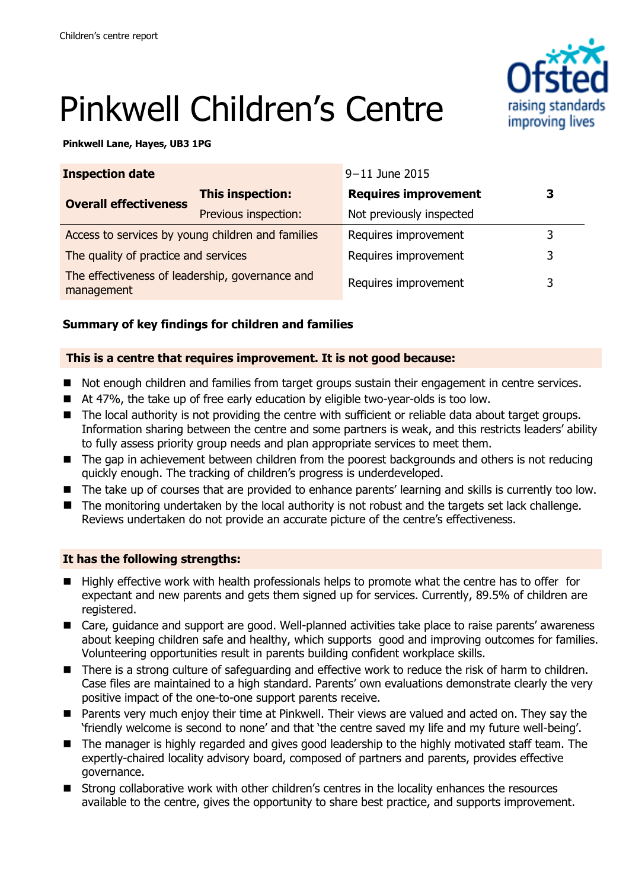# raising standards improving lives

## Pinkwell Children's Centre

#### **Pinkwell Lane, Hayes, UB3 1PG**

| <b>Inspection date</b>                                        |                      | 9-11 June 2015              |   |
|---------------------------------------------------------------|----------------------|-----------------------------|---|
| <b>Overall effectiveness</b>                                  | This inspection:     | <b>Requires improvement</b> | З |
|                                                               | Previous inspection: | Not previously inspected    |   |
| Access to services by young children and families             |                      | Requires improvement        |   |
| The quality of practice and services                          |                      | Requires improvement        | 3 |
| The effectiveness of leadership, governance and<br>management |                      | Requires improvement        | 3 |

#### **Summary of key findings for children and families**

#### **This is a centre that requires improvement. It is not good because:**

- Not enough children and families from target groups sustain their engagement in centre services.
- At 47%, the take up of free early education by eligible two-year-olds is too low.
- The local authority is not providing the centre with sufficient or reliable data about target groups. Information sharing between the centre and some partners is weak, and this restricts leaders' ability to fully assess priority group needs and plan appropriate services to meet them.
- The gap in achievement between children from the poorest backgrounds and others is not reducing quickly enough. The tracking of children's progress is underdeveloped.
- The take up of courses that are provided to enhance parents' learning and skills is currently too low.
- The monitoring undertaken by the local authority is not robust and the targets set lack challenge. Reviews undertaken do not provide an accurate picture of the centre's effectiveness.

#### **It has the following strengths:**

- Highly effective work with health professionals helps to promote what the centre has to offer for expectant and new parents and gets them signed up for services. Currently, 89.5% of children are registered.
- Care, guidance and support are good. Well-planned activities take place to raise parents' awareness about keeping children safe and healthy, which supports good and improving outcomes for families. Volunteering opportunities result in parents building confident workplace skills.
- There is a strong culture of safeguarding and effective work to reduce the risk of harm to children. Case files are maintained to a high standard. Parents' own evaluations demonstrate clearly the very positive impact of the one-to-one support parents receive.
- **Parents very much enjoy their time at Pinkwell. Their views are valued and acted on. They say the** 'friendly welcome is second to none' and that 'the centre saved my life and my future well-being'.
- The manager is highly regarded and gives good leadership to the highly motivated staff team. The expertly-chaired locality advisory board, composed of partners and parents, provides effective governance.
- **E** Strong collaborative work with other children's centres in the locality enhances the resources available to the centre, gives the opportunity to share best practice, and supports improvement.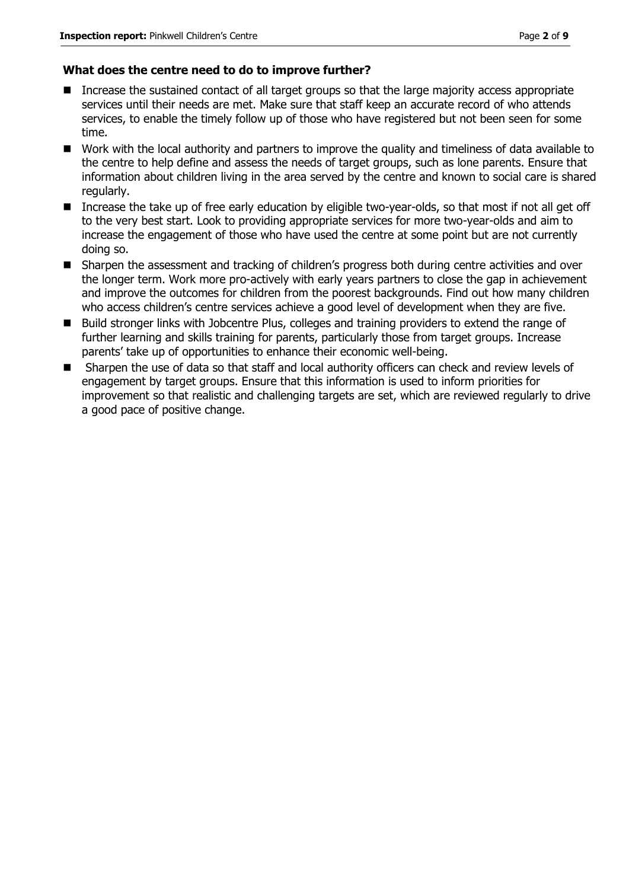#### **What does the centre need to do to improve further?**

- Increase the sustained contact of all target groups so that the large majority access appropriate services until their needs are met. Make sure that staff keep an accurate record of who attends services, to enable the timely follow up of those who have registered but not been seen for some time.
- Work with the local authority and partners to improve the quality and timeliness of data available to the centre to help define and assess the needs of target groups, such as lone parents. Ensure that information about children living in the area served by the centre and known to social care is shared regularly.
- Increase the take up of free early education by eligible two-year-olds, so that most if not all get off to the very best start. Look to providing appropriate services for more two-year-olds and aim to increase the engagement of those who have used the centre at some point but are not currently doing so.
- Sharpen the assessment and tracking of children's progress both during centre activities and over the longer term. Work more pro-actively with early years partners to close the gap in achievement and improve the outcomes for children from the poorest backgrounds. Find out how many children who access children's centre services achieve a good level of development when they are five.
- Build stronger links with Jobcentre Plus, colleges and training providers to extend the range of further learning and skills training for parents, particularly those from target groups. Increase parents' take up of opportunities to enhance their economic well-being.
- Sharpen the use of data so that staff and local authority officers can check and review levels of engagement by target groups. Ensure that this information is used to inform priorities for improvement so that realistic and challenging targets are set, which are reviewed regularly to drive a good pace of positive change.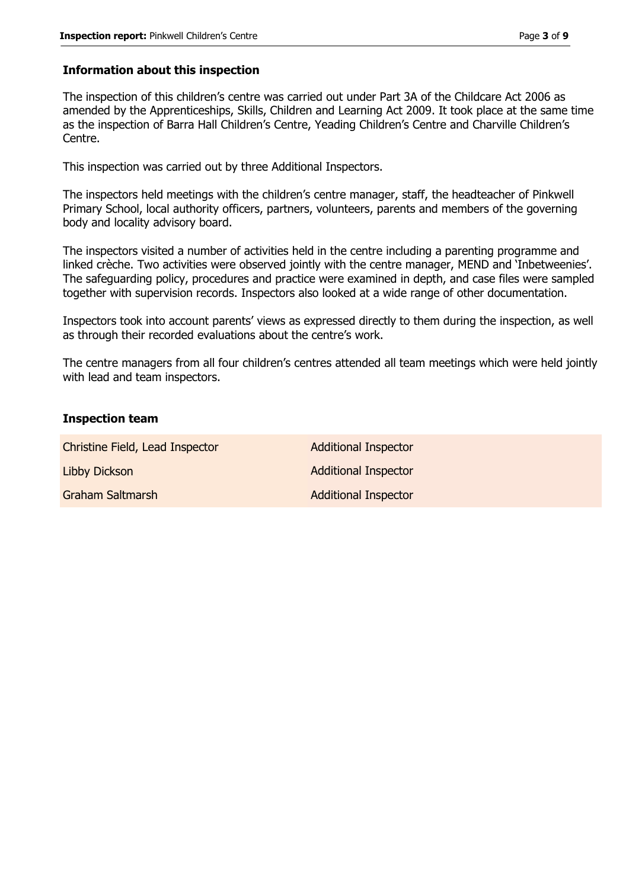#### **Information about this inspection**

The inspection of this children's centre was carried out under Part 3A of the Childcare Act 2006 as amended by the Apprenticeships, Skills, Children and Learning Act 2009. It took place at the same time as the inspection of Barra Hall Children's Centre, Yeading Children's Centre and Charville Children's Centre.

This inspection was carried out by three Additional Inspectors.

The inspectors held meetings with the children's centre manager, staff, the headteacher of Pinkwell Primary School, local authority officers, partners, volunteers, parents and members of the governing body and locality advisory board.

The inspectors visited a number of activities held in the centre including a parenting programme and linked crèche. Two activities were observed jointly with the centre manager, MEND and 'Inbetweenies'. The safeguarding policy, procedures and practice were examined in depth, and case files were sampled together with supervision records. Inspectors also looked at a wide range of other documentation.

Inspectors took into account parents' views as expressed directly to them during the inspection, as well as through their recorded evaluations about the centre's work.

The centre managers from all four children's centres attended all team meetings which were held jointly with lead and team inspectors.

#### **Inspection team**

| Christine Field, Lead Inspector | <b>Additional Inspector</b> |
|---------------------------------|-----------------------------|
| Libby Dickson                   | <b>Additional Inspector</b> |
| Graham Saltmarsh                | <b>Additional Inspector</b> |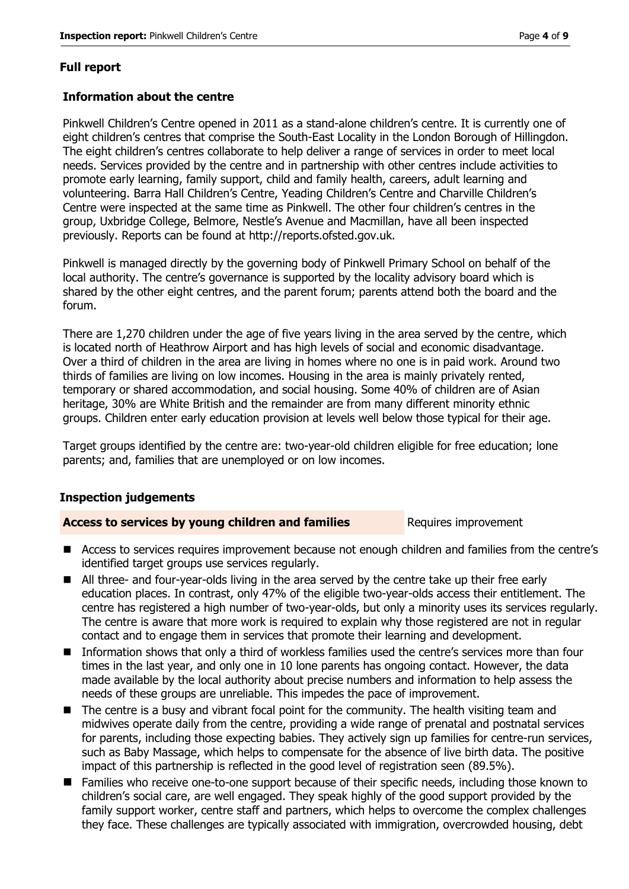#### **Full report**

#### **Information about the centre**

Pinkwell Children's Centre opened in 2011 as a stand-alone children's centre. It is currently one of eight children's centres that comprise the South-East Locality in the London Borough of Hillingdon. The eight children's centres collaborate to help deliver a range of services in order to meet local needs. Services provided by the centre and in partnership with other centres include activities to promote early learning, family support, child and family health, careers, adult learning and volunteering. Barra Hall Children's Centre, Yeading Children's Centre and Charville Children's Centre were inspected at the same time as Pinkwell. The other four children's centres in the group, Uxbridge College, Belmore, Nestle's Avenue and Macmillan, have all been inspected previously. Reports can be found at http://reports.ofsted.gov.uk.

Pinkwell is managed directly by the governing body of Pinkwell Primary School on behalf of the local authority. The centre's governance is supported by the locality advisory board which is shared by the other eight centres, and the parent forum; parents attend both the board and the forum.

There are 1,270 children under the age of five years living in the area served by the centre, which is located north of Heathrow Airport and has high levels of social and economic disadvantage. Over a third of children in the area are living in homes where no one is in paid work. Around two thirds of families are living on low incomes. Housing in the area is mainly privately rented, temporary or shared accommodation, and social housing. Some 40% of children are of Asian heritage, 30% are White British and the remainder are from many different minority ethnic groups. Children enter early education provision at levels well below those typical for their age.

Target groups identified by the centre are: two-year-old children eligible for free education; lone parents; and, families that are unemployed or on low incomes.

#### **Inspection judgements**

#### **Access to services by young children and families** Requires improvement

- Access to services requires improvement because not enough children and families from the centre's identified target groups use services regularly.
- All three- and four-year-olds living in the area served by the centre take up their free early education places. In contrast, only 47% of the eligible two-year-olds access their entitlement. The centre has registered a high number of two-year-olds, but only a minority uses its services regularly. The centre is aware that more work is required to explain why those registered are not in regular contact and to engage them in services that promote their learning and development.
- Information shows that only a third of workless families used the centre's services more than four times in the last year, and only one in 10 lone parents has ongoing contact. However, the data made available by the local authority about precise numbers and information to help assess the needs of these groups are unreliable. This impedes the pace of improvement.
- The centre is a busy and vibrant focal point for the community. The health visiting team and midwives operate daily from the centre, providing a wide range of prenatal and postnatal services for parents, including those expecting babies. They actively sign up families for centre-run services, such as Baby Massage, which helps to compensate for the absence of live birth data. The positive impact of this partnership is reflected in the good level of registration seen (89.5%).
- Families who receive one-to-one support because of their specific needs, including those known to children's social care, are well engaged. They speak highly of the good support provided by the family support worker, centre staff and partners, which helps to overcome the complex challenges they face. These challenges are typically associated with immigration, overcrowded housing, debt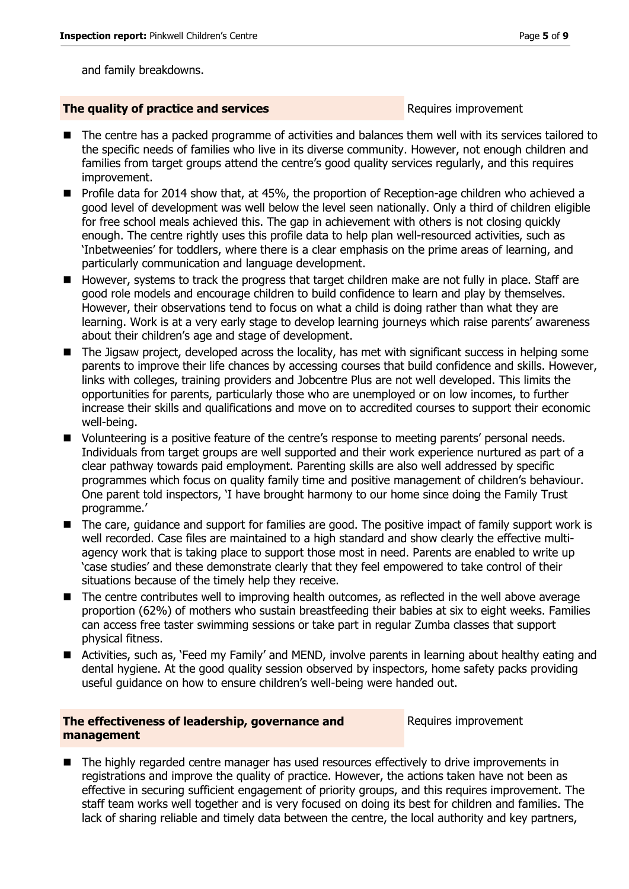and family breakdowns.

#### **The quality of practice and services** Requires improvement

- The centre has a packed programme of activities and balances them well with its services tailored to the specific needs of families who live in its diverse community. However, not enough children and families from target groups attend the centre's good quality services regularly, and this requires improvement.
- Profile data for 2014 show that, at 45%, the proportion of Reception-age children who achieved a good level of development was well below the level seen nationally. Only a third of children eligible for free school meals achieved this. The gap in achievement with others is not closing quickly enough. The centre rightly uses this profile data to help plan well-resourced activities, such as 'Inbetweenies' for toddlers, where there is a clear emphasis on the prime areas of learning, and particularly communication and language development.
- However, systems to track the progress that target children make are not fully in place. Staff are good role models and encourage children to build confidence to learn and play by themselves. However, their observations tend to focus on what a child is doing rather than what they are learning. Work is at a very early stage to develop learning journeys which raise parents' awareness about their children's age and stage of development.
- The Jigsaw project, developed across the locality, has met with significant success in helping some parents to improve their life chances by accessing courses that build confidence and skills. However, links with colleges, training providers and Jobcentre Plus are not well developed. This limits the opportunities for parents, particularly those who are unemployed or on low incomes, to further increase their skills and qualifications and move on to accredited courses to support their economic well-being.
- Volunteering is a positive feature of the centre's response to meeting parents' personal needs. Individuals from target groups are well supported and their work experience nurtured as part of a clear pathway towards paid employment. Parenting skills are also well addressed by specific programmes which focus on quality family time and positive management of children's behaviour. One parent told inspectors, 'I have brought harmony to our home since doing the Family Trust programme.'
- The care, guidance and support for families are good. The positive impact of family support work is well recorded. Case files are maintained to a high standard and show clearly the effective multiagency work that is taking place to support those most in need. Parents are enabled to write up 'case studies' and these demonstrate clearly that they feel empowered to take control of their situations because of the timely help they receive.
- The centre contributes well to improving health outcomes, as reflected in the well above average proportion (62%) of mothers who sustain breastfeeding their babies at six to eight weeks. Families can access free taster swimming sessions or take part in regular Zumba classes that support physical fitness.
- Activities, such as, 'Feed my Family' and MEND, involve parents in learning about healthy eating and dental hygiene. At the good quality session observed by inspectors, home safety packs providing useful guidance on how to ensure children's well-being were handed out.

#### **The effectiveness of leadership, governance and management**

Requires improvement

■ The highly regarded centre manager has used resources effectively to drive improvements in registrations and improve the quality of practice. However, the actions taken have not been as effective in securing sufficient engagement of priority groups, and this requires improvement. The staff team works well together and is very focused on doing its best for children and families. The lack of sharing reliable and timely data between the centre, the local authority and key partners,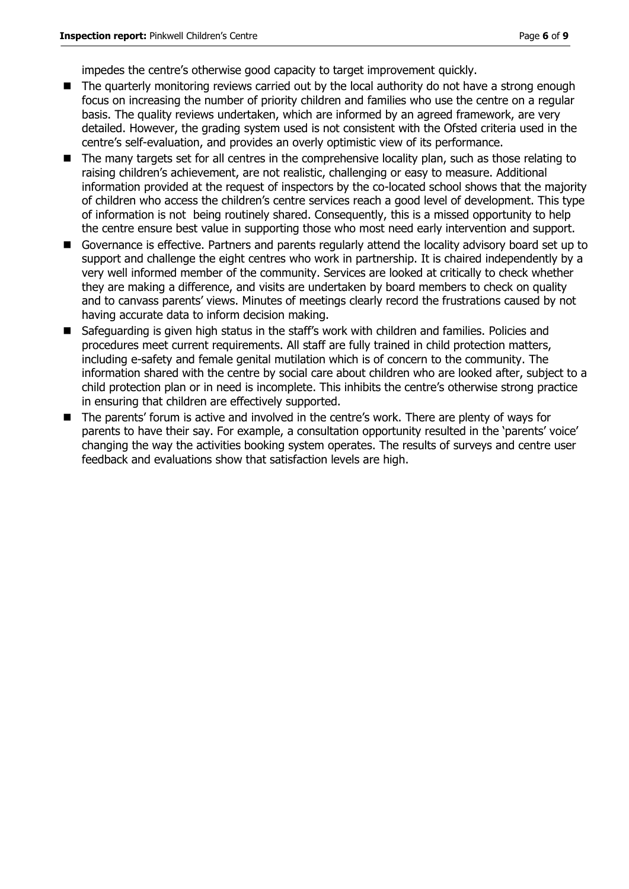impedes the centre's otherwise good capacity to target improvement quickly.

- The quarterly monitoring reviews carried out by the local authority do not have a strong enough focus on increasing the number of priority children and families who use the centre on a regular basis. The quality reviews undertaken, which are informed by an agreed framework, are very detailed. However, the grading system used is not consistent with the Ofsted criteria used in the centre's self-evaluation, and provides an overly optimistic view of its performance.
- The many targets set for all centres in the comprehensive locality plan, such as those relating to raising children's achievement, are not realistic, challenging or easy to measure. Additional information provided at the request of inspectors by the co-located school shows that the majority of children who access the children's centre services reach a good level of development. This type of information is not being routinely shared. Consequently, this is a missed opportunity to help the centre ensure best value in supporting those who most need early intervention and support.
- Governance is effective. Partners and parents regularly attend the locality advisory board set up to support and challenge the eight centres who work in partnership. It is chaired independently by a very well informed member of the community. Services are looked at critically to check whether they are making a difference, and visits are undertaken by board members to check on quality and to canvass parents' views. Minutes of meetings clearly record the frustrations caused by not having accurate data to inform decision making.
- Safeguarding is given high status in the staff's work with children and families. Policies and procedures meet current requirements. All staff are fully trained in child protection matters, including e-safety and female genital mutilation which is of concern to the community. The information shared with the centre by social care about children who are looked after, subject to a child protection plan or in need is incomplete. This inhibits the centre's otherwise strong practice in ensuring that children are effectively supported.
- The parents' forum is active and involved in the centre's work. There are plenty of ways for parents to have their say. For example, a consultation opportunity resulted in the 'parents' voice' changing the way the activities booking system operates. The results of surveys and centre user feedback and evaluations show that satisfaction levels are high.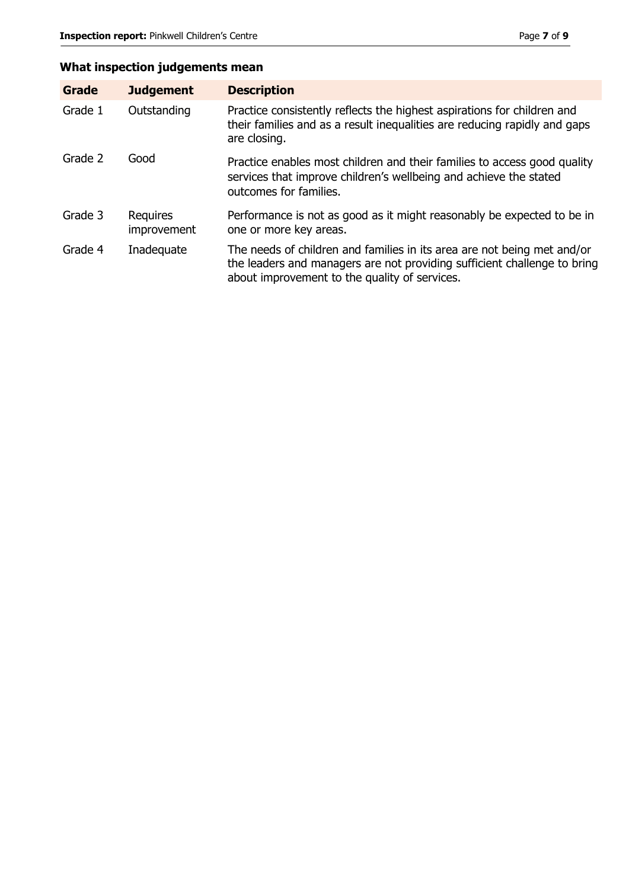### **What inspection judgements mean**

| Grade   | <b>Judgement</b>        | <b>Description</b>                                                                                                                                                                                   |
|---------|-------------------------|------------------------------------------------------------------------------------------------------------------------------------------------------------------------------------------------------|
| Grade 1 | Outstanding             | Practice consistently reflects the highest aspirations for children and<br>their families and as a result inequalities are reducing rapidly and gaps<br>are closing.                                 |
| Grade 2 | Good                    | Practice enables most children and their families to access good quality<br>services that improve children's wellbeing and achieve the stated<br>outcomes for families.                              |
| Grade 3 | Requires<br>improvement | Performance is not as good as it might reasonably be expected to be in<br>one or more key areas.                                                                                                     |
| Grade 4 | Inadequate              | The needs of children and families in its area are not being met and/or<br>the leaders and managers are not providing sufficient challenge to bring<br>about improvement to the quality of services. |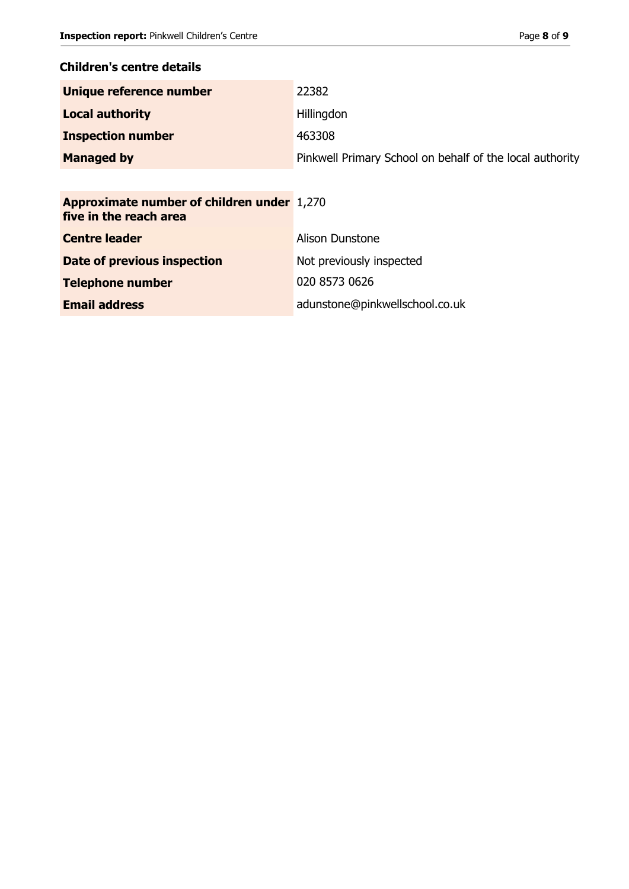#### **Children's centre details**

| Unique reference number  | 22382                                                    |
|--------------------------|----------------------------------------------------------|
| <b>Local authority</b>   | Hillingdon                                               |
| <b>Inspection number</b> | 463308                                                   |
| <b>Managed by</b>        | Pinkwell Primary School on behalf of the local authority |

| <b>Approximate number of children under 1,270</b><br>five in the reach area |                                |
|-----------------------------------------------------------------------------|--------------------------------|
| <b>Centre leader</b>                                                        | Alison Dunstone                |
| <b>Date of previous inspection</b>                                          | Not previously inspected       |
| <b>Telephone number</b>                                                     | 020 8573 0626                  |
| <b>Email address</b>                                                        | adunstone@pinkwellschool.co.uk |